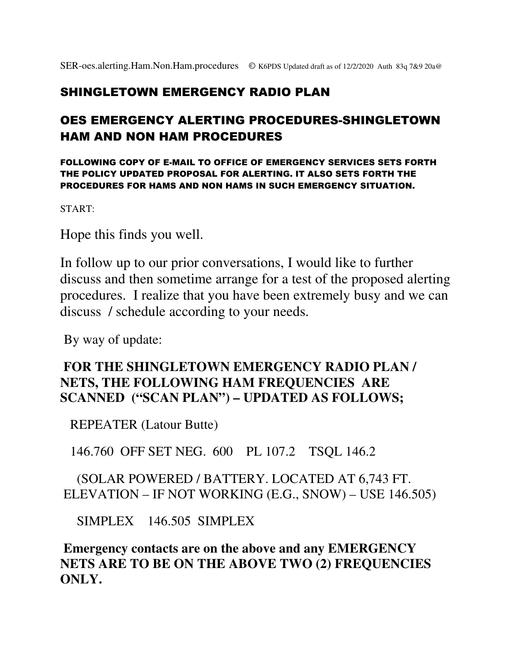### SHINGLETOWN EMERGENCY RADIO PLAN

## OES EMERGENCY ALERTING PROCEDURES-SHINGLETOWN HAM AND NON HAM PROCEDURES

FOLLOWING COPY OF E-MAIL TO OFFICE OF EMERGENCY SERVICES SETS FORTH THE POLICY UPDATED PROPOSAL FOR ALERTING. IT ALSO SETS FORTH THE PROCEDURES FOR HAMS AND NON HAMS IN SUCH EMERGENCY SITUATION.

START:

Hope this finds you well.

In follow up to our prior conversations, I would like to further discuss and then sometime arrange for a test of the proposed alerting procedures. I realize that you have been extremely busy and we can discuss / schedule according to your needs.

By way of update:

#### **FOR THE SHINGLETOWN EMERGENCY RADIO PLAN / NETS, THE FOLLOWING HAM FREQUENCIES ARE SCANNED ("SCAN PLAN") – UPDATED AS FOLLOWS;**

REPEATER (Latour Butte)

146.760 OFF SET NEG. 600 PL 107.2 TSQL 146.2

 (SOLAR POWERED / BATTERY. LOCATED AT 6,743 FT. ELEVATION – IF NOT WORKING (E.G., SNOW) – USE 146.505)

SIMPLEX 146.505 SIMPLEX

**Emergency contacts are on the above and any EMERGENCY NETS ARE TO BE ON THE ABOVE TWO (2) FREQUENCIES ONLY.**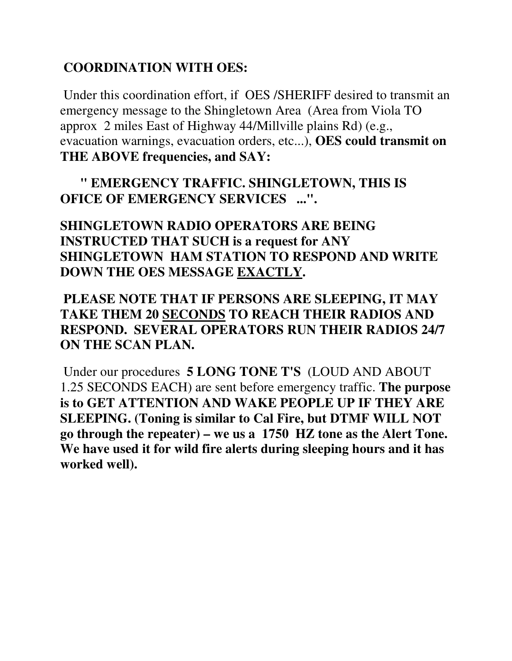# **COORDINATION WITH OES:**

 Under this coordination effort, if OES /SHERIFF desired to transmit an emergency message to the Shingletown Area (Area from Viola TO approx 2 miles East of Highway 44/Millville plains Rd) (e.g., evacuation warnings, evacuation orders, etc...), **OES could transmit on THE ABOVE frequencies, and SAY:**

 **" EMERGENCY TRAFFIC. SHINGLETOWN, THIS IS OFICE OF EMERGENCY SERVICES ...".**

**SHINGLETOWN RADIO OPERATORS ARE BEING INSTRUCTED THAT SUCH is a request for ANY SHINGLETOWN HAM STATION TO RESPOND AND WRITE DOWN THE OES MESSAGE EXACTLY.** 

## **PLEASE NOTE THAT IF PERSONS ARE SLEEPING, IT MAY TAKE THEM 20 SECONDS TO REACH THEIR RADIOS AND RESPOND. SEVERAL OPERATORS RUN THEIR RADIOS 24/7 ON THE SCAN PLAN.**

 Under our procedures **5 LONG TONE T'S** (LOUD AND ABOUT 1.25 SECONDS EACH) are sent before emergency traffic. **The purpose is to GET ATTENTION AND WAKE PEOPLE UP IF THEY ARE SLEEPING. (Toning is similar to Cal Fire, but DTMF WILL NOT go through the repeater) – we us a 1750 HZ tone as the Alert Tone. We have used it for wild fire alerts during sleeping hours and it has worked well).**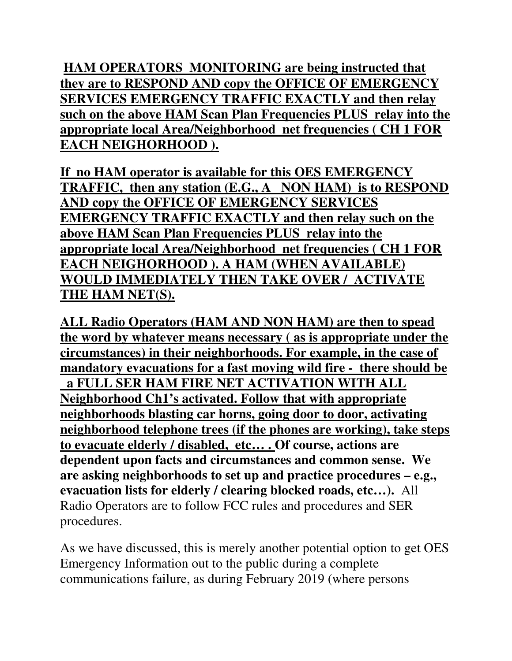**HAM OPERATORS MONITORING are being instructed that they are to RESPOND AND copy the OFFICE OF EMERGENCY SERVICES EMERGENCY TRAFFIC EXACTLY and then relay such on the above HAM Scan Plan Frequencies PLUS relay into the appropriate local Area/Neighborhood net frequencies ( CH 1 FOR EACH NEIGHORHOOD ).**

**If no HAM operator is available for this OES EMERGENCY TRAFFIC, then any station (E.G., A NON HAM) is to RESPOND AND copy the OFFICE OF EMERGENCY SERVICES EMERGENCY TRAFFIC EXACTLY and then relay such on the above HAM Scan Plan Frequencies PLUS relay into the appropriate local Area/Neighborhood net frequencies ( CH 1 FOR EACH NEIGHORHOOD ). A HAM (WHEN AVAILABLE) WOULD IMMEDIATELY THEN TAKE OVER / ACTIVATE THE HAM NET(S).**

**ALL Radio Operators (HAM AND NON HAM) are then to spead the word by whatever means necessary ( as is appropriate under the circumstances) in their neighborhoods. For example, in the case of mandatory evacuations for a fast moving wild fire - there should be a FULL SER HAM FIRE NET ACTIVATION WITH ALL Neighborhood Ch1's activated. Follow that with appropriate neighborhoods blasting car horns, going door to door, activating neighborhood telephone trees (if the phones are working), take steps to evacuate elderly / disabled, etc… . Of course, actions are dependent upon facts and circumstances and common sense. We are asking neighborhoods to set up and practice procedures – e.g., evacuation lists for elderly / clearing blocked roads, etc…).** All Radio Operators are to follow FCC rules and procedures and SER procedures.

As we have discussed, this is merely another potential option to get OES Emergency Information out to the public during a complete communications failure, as during February 2019 (where persons